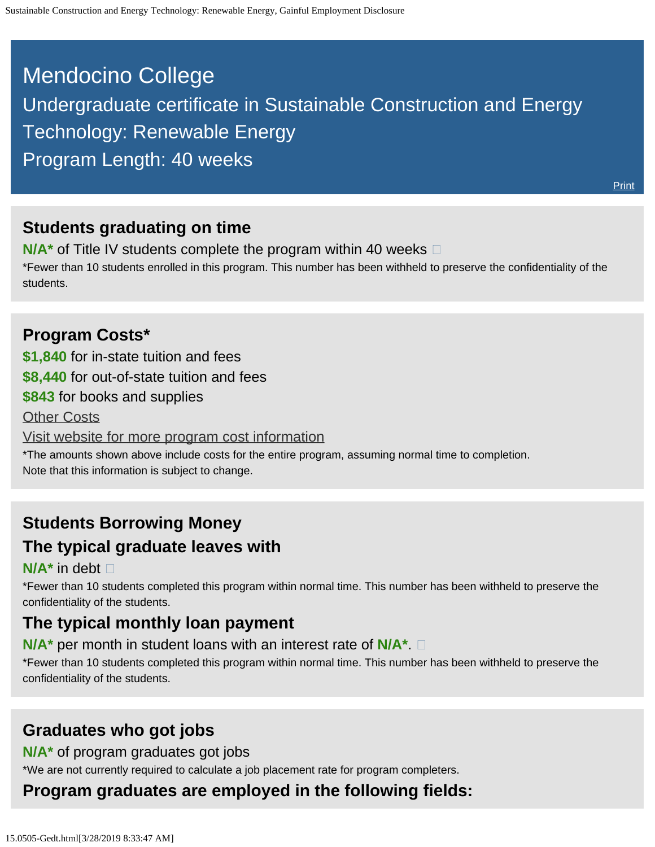# <span id="page-0-0"></span>Mendocino College Undergraduate certificate in Sustainable Construction and Energy Technology: Renewable Energy Program Length: 40 weeks

### **Students graduating on time**

**N/A<sup>\*</sup>** of Title IV students complete the program within 40 weeks  $\Box$ 

\*Fewer than 10 students enrolled in this program. This number has been withheld to preserve the confidentiality of the students.

### **Program Costs\***

**\$1,840** for in-state tuition and fees

**\$8,440** for out-of-state tuition and fees

**\$843** for books and supplies

**[Other Costs](#page-0-0)** 

[Visit website for more program cost information](https://www.mendocino.edu/program/sustainable-technology-renewable-energy)

\*The amounts shown above include costs for the entire program, assuming normal time to completion. Note that this information is subject to change.

# **Students Borrowing Money**

### **The typical graduate leaves with**

#### **N/A\*** in debt

\*Fewer than 10 students completed this program within normal time. This number has been withheld to preserve the confidentiality of the students.

# **The typical monthly loan payment**

#### **N/A\*** per month in student loans with an interest rate of **N/A\***.

\*Fewer than 10 students completed this program within normal time. This number has been withheld to preserve the confidentiality of the students.

### **Graduates who got jobs**

#### **N/A\*** of program graduates got jobs

\*We are not currently required to calculate a job placement rate for program completers.

# **Program graduates are employed in the following fields:**